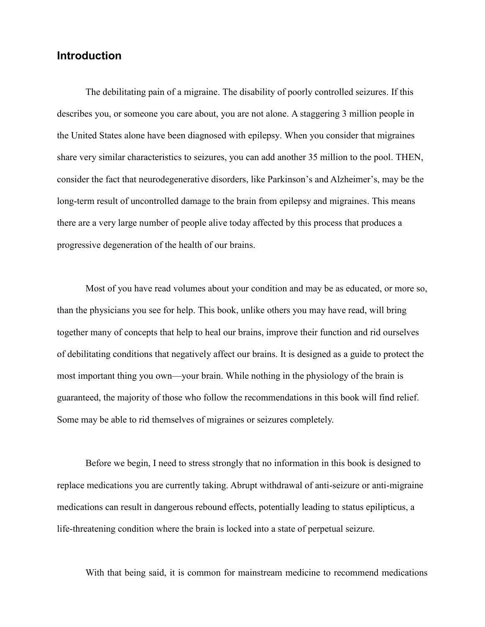## **Introduction**

The debilitating pain of a migraine. The disability of poorly controlled seizures. If this describes you, or someone you care about, you are not alone. A staggering 3 million people in the United States alone have been diagnosed with epilepsy. When you consider that migraines share very similar characteristics to seizures, you can add another 35 million to the pool. THEN, consider the fact that neurodegenerative disorders, like Parkinson's and Alzheimer's, may be the long-term result of uncontrolled damage to the brain from epilepsy and migraines. This means there are a very large number of people alive today affected by this process that produces a progressive degeneration of the health of our brains.

Most of you have read volumes about your condition and may be as educated, or more so, than the physicians you see for help. This book, unlike others you may have read, will bring together many of concepts that help to heal our brains, improve their function and rid ourselves of debilitating conditions that negatively affect our brains. It is designed as a guide to protect the most important thing you own—your brain. While nothing in the physiology of the brain is guaranteed, the majority of those who follow the recommendations in this book will find relief. Some may be able to rid themselves of migraines or seizures completely.

Before we begin, I need to stress strongly that no information in this book is designed to replace medications you are currently taking. Abrupt withdrawal of anti-seizure or anti-migraine medications can result in dangerous rebound effects, potentially leading to status epilipticus, a life-threatening condition where the brain is locked into a state of perpetual seizure.

With that being said, it is common for mainstream medicine to recommend medications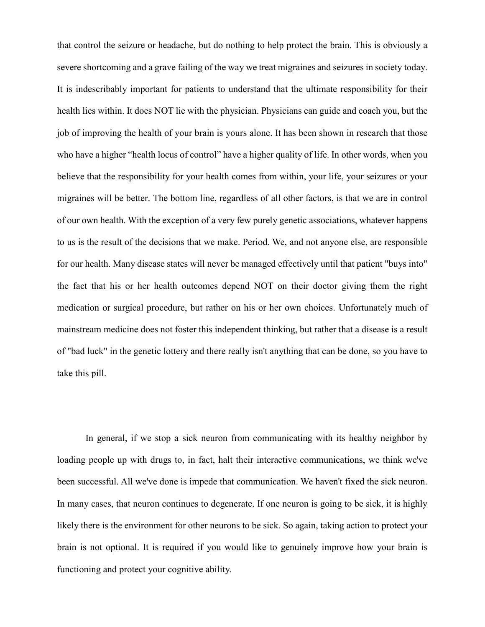that control the seizure or headache, but do nothing to help protect the brain. This is obviously a severe shortcoming and a grave failing of the way we treat migraines and seizures in society today. It is indescribably important for patients to understand that the ultimate responsibility for their health lies within. It does NOT lie with the physician. Physicians can guide and coach you, but the job of improving the health of your brain is yours alone. It has been shown in research that those who have a higher "health locus of control" have a higher quality of life. In other words, when you believe that the responsibility for your health comes from within, your life, your seizures or your migraines will be better. The bottom line, regardless of all other factors, is that we are in control of our own health. With the exception of a very few purely genetic associations, whatever happens to us is the result of the decisions that we make. Period. We, and not anyone else, are responsible for our health. Many disease states will never be managed effectively until that patient "buys into" the fact that his or her health outcomes depend NOT on their doctor giving them the right medication or surgical procedure, but rather on his or her own choices. Unfortunately much of mainstream medicine does not foster this independent thinking, but rather that a disease is a result of "bad luck" in the genetic lottery and there really isn't anything that can be done, so you have to take this pill.

In general, if we stop a sick neuron from communicating with its healthy neighbor by loading people up with drugs to, in fact, halt their interactive communications, we think we've been successful. All we've done is impede that communication. We haven't fixed the sick neuron. In many cases, that neuron continues to degenerate. If one neuron is going to be sick, it is highly likely there is the environment for other neurons to be sick. So again, taking action to protect your brain is not optional. It is required if you would like to genuinely improve how your brain is functioning and protect your cognitive ability.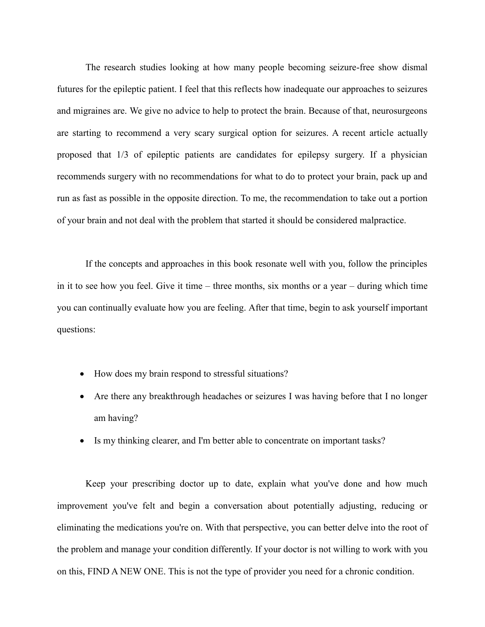The research studies looking at how many people becoming seizure-free show dismal futures for the epileptic patient. I feel that this reflects how inadequate our approaches to seizures and migraines are. We give no advice to help to protect the brain. Because of that, neurosurgeons are starting to recommend a very scary surgical option for seizures. A recent article actually proposed that 1/3 of epileptic patients are candidates for epilepsy surgery. If a physician recommends surgery with no recommendations for what to do to protect your brain, pack up and run as fast as possible in the opposite direction. To me, the recommendation to take out a portion of your brain and not deal with the problem that started it should be considered malpractice.

If the concepts and approaches in this book resonate well with you, follow the principles in it to see how you feel. Give it time – three months, six months or a year – during which time you can continually evaluate how you are feeling. After that time, begin to ask yourself important questions:

- How does my brain respond to stressful situations?
- Are there any breakthrough headaches or seizures I was having before that I no longer am having?
- Is my thinking clearer, and I'm better able to concentrate on important tasks?

Keep your prescribing doctor up to date, explain what you've done and how much improvement you've felt and begin a conversation about potentially adjusting, reducing or eliminating the medications you're on. With that perspective, you can better delve into the root of the problem and manage your condition differently. If your doctor is not willing to work with you on this, FIND A NEW ONE. This is not the type of provider you need for a chronic condition.